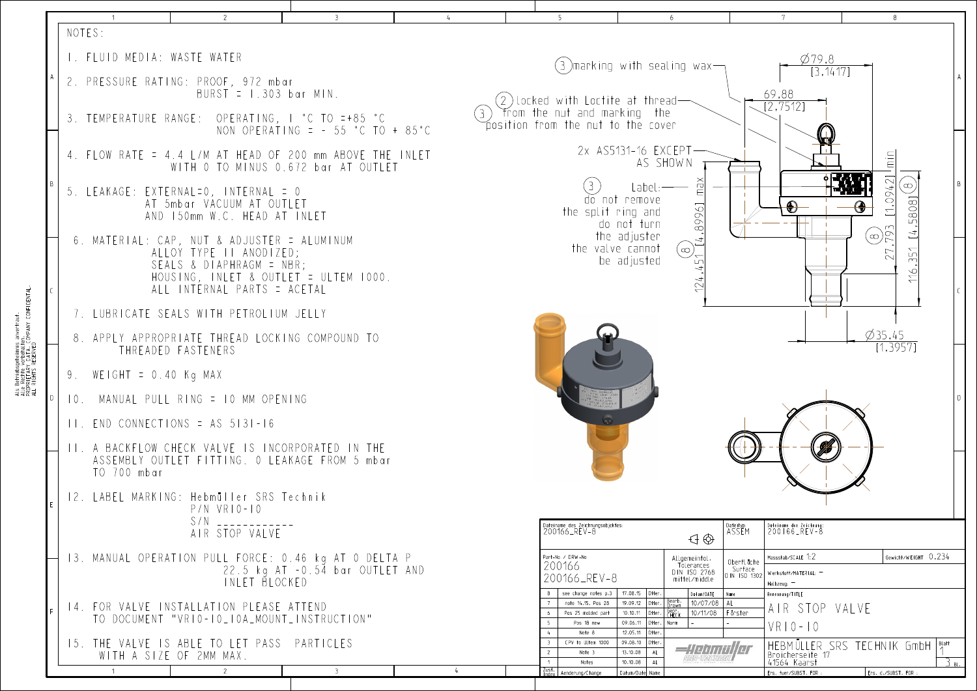|                                                                                                                                                   | NOTES:                      |                                                                                                                                                                            |                                                                                                 |                                                                                                               |                                                                                                                                                                                     |                                                                                                                     |                                 |  |  |  |  |  |
|---------------------------------------------------------------------------------------------------------------------------------------------------|-----------------------------|----------------------------------------------------------------------------------------------------------------------------------------------------------------------------|-------------------------------------------------------------------------------------------------|---------------------------------------------------------------------------------------------------------------|-------------------------------------------------------------------------------------------------------------------------------------------------------------------------------------|---------------------------------------------------------------------------------------------------------------------|---------------------------------|--|--|--|--|--|
| iebsgeheimnis anverhaut.<br>hte vorbehalten.<br>TARY DATA. COMPANY CONFIDENTAL.<br>HTS RESERVED<br>Als Betri<br>Alle Rect<br>PROPRIET<br>ALL RIGH | I. FLUID MEDIA: WASTE WATER |                                                                                                                                                                            |                                                                                                 | (3 )marking with sealing wax $\frown$                                                                         | $\varnothing$ 79,8                                                                                                                                                                  |                                                                                                                     |                                 |  |  |  |  |  |
|                                                                                                                                                   |                             | 2. PRESSURE RATING: PROOF, 972 mbar<br>$BURST = 1.303$ bar MIN.                                                                                                            |                                                                                                 |                                                                                                               |                                                                                                                                                                                     |                                                                                                                     |                                 |  |  |  |  |  |
|                                                                                                                                                   |                             | 3. TEMPERATURE RANGE: OPERATING, I °C TO =+85 °C                                                                                                                           | NON OPERATING = $-55 °C$ TO + 85°C                                                              | $(2$ )locked with Loctite at thread $-$<br>from the nut and marking the<br>position from the nut to the cover |                                                                                                                                                                                     | $\frac{69,88}{[2,7512]}$                                                                                            |                                 |  |  |  |  |  |
|                                                                                                                                                   |                             |                                                                                                                                                                            | 4. FLOW RATE = 4.4 L/M AT HEAD OF 200 mm ABOVE THE INLET<br>WITH 0 TO MINUS 0.672 bar AT OUTLET | 2x AS5131-16 EXCEPT-<br>AS SHOWN                                                                              |                                                                                                                                                                                     |                                                                                                                     |                                 |  |  |  |  |  |
|                                                                                                                                                   |                             | 5. LEAKAGE: EXTERNAL=0, INTERNAL = 0<br>AT 5mbar VACUUM AT OUTLET<br>AND 150mm W.C. HEAD AT INLET                                                                          |                                                                                                 | do not remove<br>the split ring and<br>do not turn                                                            | $\bigcirc$                                                                                                                                                                          | [1,0942]                                                                                                            |                                 |  |  |  |  |  |
|                                                                                                                                                   |                             | 6. MATERIAL: CAP, NUT & ADJUSTER = ALUMINUM<br>ALLOY TYPE II ANODIZED;<br>SEALS & DIAPHRAGM = NBR;<br>HOUSING, INLET & OUTLET = ULTEM 1000.<br>ALL INTERNAL PARTS = ACETAL |                                                                                                 |                                                                                                               | 89961<br>the adjuster<br>the valve cannot<br>$(\infty)$<br>$\overleftarrow{L}$<br>be adjusted                                                                                       |                                                                                                                     | $\bigcirc$ <sup>793</sup><br>27 |  |  |  |  |  |
|                                                                                                                                                   |                             | 7. LUBRICATE SEALS WITH PETROLIUM JELLY                                                                                                                                    |                                                                                                 |                                                                                                               |                                                                                                                                                                                     |                                                                                                                     |                                 |  |  |  |  |  |
|                                                                                                                                                   |                             | 8. APPLY APPROPRIATE THREAD LOCKING COMPOUND TO<br>THREADED FASTENERS                                                                                                      |                                                                                                 |                                                                                                               |                                                                                                                                                                                     |                                                                                                                     |                                 |  |  |  |  |  |
|                                                                                                                                                   | WEIGHT = 0.40 Kg MAX        |                                                                                                                                                                            |                                                                                                 |                                                                                                               |                                                                                                                                                                                     |                                                                                                                     |                                 |  |  |  |  |  |
|                                                                                                                                                   |                             | 10. MANUAL PULL RING = 10 MM OPENING                                                                                                                                       |                                                                                                 |                                                                                                               |                                                                                                                                                                                     |                                                                                                                     |                                 |  |  |  |  |  |
|                                                                                                                                                   |                             | $ 11.$ END CONNECTIONS = AS 5131-16                                                                                                                                        |                                                                                                 | $\bigodot$                                                                                                    |                                                                                                                                                                                     |                                                                                                                     |                                 |  |  |  |  |  |
|                                                                                                                                                   | TO 700 mbar                 | II. A BACKFLOW CHECK VALVE IS INCORPORATED IN THE                                                                                                                          | ASSEMBLY OUTLET FITTING. 0 LEAKAGE FROM 5 mbar                                                  |                                                                                                               |                                                                                                                                                                                     |                                                                                                                     |                                 |  |  |  |  |  |
|                                                                                                                                                   |                             | 12. LABEL MARKING: Hebmüller SRS Technik<br>$P/N$ VRIO-IO                                                                                                                  |                                                                                                 |                                                                                                               |                                                                                                                                                                                     |                                                                                                                     |                                 |  |  |  |  |  |
|                                                                                                                                                   |                             | S/N<br>AIR STOP VALVE                                                                                                                                                      |                                                                                                 | Dateiname des Zeichnungsobjektes:<br>200166_REV-8                                                             | $\bigoplus$                                                                                                                                                                         | Dateiname der Zeichnung:<br>200166_REV-8<br><sub>Dateityp:</sub><br>ASSEM                                           |                                 |  |  |  |  |  |
|                                                                                                                                                   |                             | INLET BLOCKED                                                                                                                                                              | 13. MANUAL OPERATION PULL FORCE: 0.46 kg AT 0 DELTA P<br>22.5 kg AT -0.54 bar OUTLET AND        | Part-No / DRW-No<br>200166<br>200166_REV-8                                                                    | Allgemeintol<br>Tolerances<br>DIN ISO 2768<br>mittel/middle                                                                                                                         | Massstab/SCALE 1:2<br>Oberfl äche<br>Surface<br>$D\overline{IN}$ ISO 1302<br>Werkstoff/MATERIAL: -<br>Halbzeug: $-$ | Gewi                            |  |  |  |  |  |
|                                                                                                                                                   |                             | 14. FOR VALVE INSTALLATION PLEASE ATTEND<br>TO DOCUMENT "VRIO-IO_IOA_MOUNT_INSTRUCTION"                                                                                    |                                                                                                 | see change notes p.3<br>note 14,15, Pos 28<br>Pos 25 molded part<br>Pos 18 new                                | 17.08.15 Otter.<br>Datum/DATE<br>Bearb.<br>Drawn<br>10/07/08 AL<br>19.09.12   Otter.<br>Gepr.<br>CHECK<br>10/11/08   Förster<br>$10.10.11$ Otter.<br>09.06.11<br>$ $ Otter.<br>Norm | Name<br>Benennung/TITLE<br>AIR STOP VALVE<br>$VRIO-IO$                                                              |                                 |  |  |  |  |  |
|                                                                                                                                                   |                             | 15. THE VALVE IS ABLE TO LET PASS PARTICLES<br>WITH A SIZE OF 2MM MAX.                                                                                                     |                                                                                                 | Note 8<br>CPV to Ultem 1000<br>Note 3<br>Notes                                                                | 12.05.11   Otter.<br>09.08.10 Otter.<br>13.10.08<br>10.10.08<br>AL                                                                                                                  | HEBMÜLLER SRS TECHNIK<br>Broicherseite<br>41564 Kaarst                                                              |                                 |  |  |  |  |  |
|                                                                                                                                                   |                             | 2                                                                                                                                                                          | -3.                                                                                             | Zust.  <br>Index   Aenderung/Change                                                                           | Datum/Date Name                                                                                                                                                                     | Ers. fuer/SUBST. FOR :                                                                                              | Ers. d./SUB                     |  |  |  |  |  |

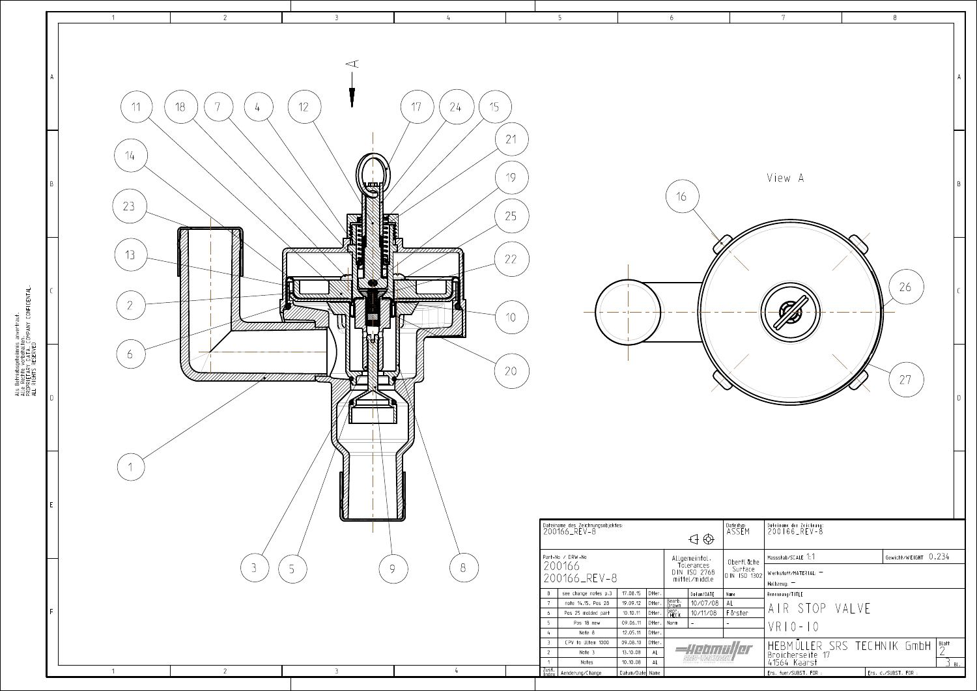